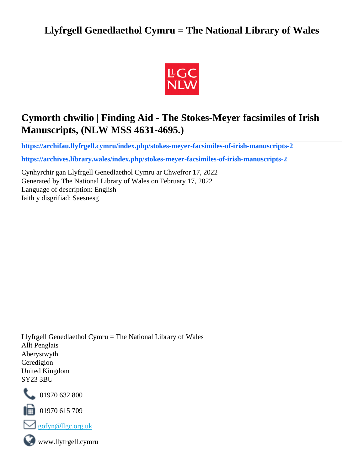# **Llyfrgell Genedlaethol Cymru = The National Library of Wales**



# **Cymorth chwilio | Finding Aid - The Stokes-Meyer facsimiles of Irish Manuscripts, (NLW MSS 4631-4695.)**

**[https://archifau.llyfrgell.cymru/index.php/stokes-meyer-facsimiles-of-irish-manuscripts-2](https://archifau.llyfrgell.cymru/index.php/stokes-meyer-facsimiles-of-irish-manuscripts-2;isad?sf_culture=cy)**

**[https://archives.library.wales/index.php/stokes-meyer-facsimiles-of-irish-manuscripts-2](https://archives.library.wales/index.php/stokes-meyer-facsimiles-of-irish-manuscripts-2;isad?sf_culture=en)**

Cynhyrchir gan Llyfrgell Genedlaethol Cymru ar Chwefror 17, 2022 Generated by The National Library of Wales on February 17, 2022 Language of description: English Iaith y disgrifiad: Saesnesg

Llyfrgell Genedlaethol Cymru = The National Library of Wales Allt Penglais Aberystwyth Ceredigion United Kingdom SY23 3BU



101970 632 800

 $\blacksquare$  01970 615 709



www.llyfrgell.cymru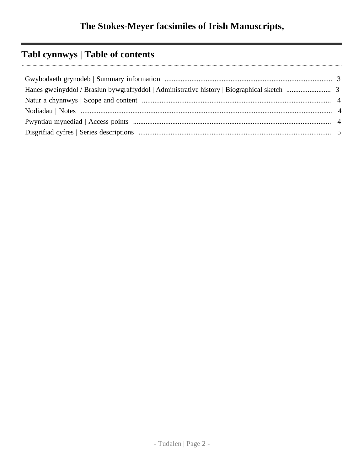# **Tabl cynnwys | Table of contents**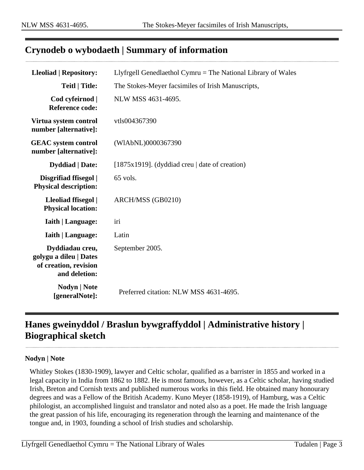## <span id="page-2-0"></span>**Crynodeb o wybodaeth | Summary of information**

| <b>Lleoliad   Repository:</b>                                                       | Llyfrgell Genedlaethol Cymru $=$ The National Library of Wales |
|-------------------------------------------------------------------------------------|----------------------------------------------------------------|
| <b>Teitl   Title:</b>                                                               | The Stokes-Meyer facsimiles of Irish Manuscripts,              |
| Cod cyfeirnod  <br><b>Reference code:</b>                                           | NLW MSS 4631-4695.                                             |
| Virtua system control<br>number [alternative]:                                      | vtls004367390                                                  |
| <b>GEAC</b> system control<br>number [alternative]:                                 | (WIAbNL)0000367390                                             |
| <b>Dyddiad</b>   Date:                                                              | [ $1875x1919$ ]. (dyddiad creu   date of creation)             |
| Disgrifiad ffisegol  <br><b>Physical description:</b>                               | 65 vols.                                                       |
| Lleoliad ffisegol  <br><b>Physical location:</b>                                    | ARCH/MSS (GB0210)                                              |
| <b>Iaith   Language:</b>                                                            | iri                                                            |
| <b>Iaith   Language:</b>                                                            | Latin                                                          |
| Dyddiadau creu,<br>golygu a dileu   Dates<br>of creation, revision<br>and deletion: | September 2005.                                                |
| Nodyn   Note<br>[generalNote]:                                                      | Preferred citation: NLW MSS 4631-4695.                         |

# <span id="page-2-1"></span>**Hanes gweinyddol / Braslun bywgraffyddol | Administrative history | Biographical sketch**

#### **Nodyn | Note**

Whitley Stokes (1830-1909), lawyer and Celtic scholar, qualified as a barrister in 1855 and worked in a legal capacity in India from 1862 to 1882. He is most famous, however, as a Celtic scholar, having studied Irish, Breton and Cornish texts and published numerous works in this field. He obtained many honourary degrees and was a Fellow of the British Academy. Kuno Meyer (1858-1919), of Hamburg, was a Celtic philologist, an accomplished linguist and translator and noted also as a poet. He made the Irish language the great passion of his life, encouraging its regeneration through the learning and maintenance of the tongue and, in 1903, founding a school of Irish studies and scholarship.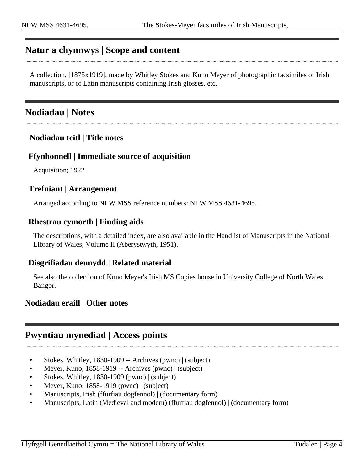## <span id="page-3-0"></span>**Natur a chynnwys | Scope and content**

A collection, [1875x1919], made by Whitley Stokes and Kuno Meyer of photographic facsimiles of Irish manuscripts, or of Latin manuscripts containing Irish glosses, etc.

## <span id="page-3-1"></span>**Nodiadau | Notes**

### **Nodiadau teitl | Title notes**

### **Ffynhonnell | Immediate source of acquisition**

Acquisition; 1922

#### **Trefniant | Arrangement**

Arranged according to NLW MSS reference numbers: NLW MSS 4631-4695.

### **Rhestrau cymorth | Finding aids**

The descriptions, with a detailed index, are also available in the Handlist of Manuscripts in the National Library of Wales, Volume II (Aberystwyth, 1951).

#### **Disgrifiadau deunydd | Related material**

See also the collection of Kuno Meyer's Irish MS Copies house in University College of North Wales, Bangor.

#### **Nodiadau eraill | Other notes**

### <span id="page-3-2"></span>**Pwyntiau mynediad | Access points**

- Stokes, Whitley, 1830-1909 -- Archives (pwnc) | (subject)
- Meyer, Kuno, 1858-1919 -- Archives (pwnc) | (subject)
- Stokes, Whitley, 1830-1909 (pwnc) | (subject)
- Meyer, Kuno, 1858-1919 (pwnc) | (subject)
- Manuscripts, Irish (ffurfiau dogfennol) | (documentary form)
- Manuscripts, Latin (Medieval and modern) (ffurfiau dogfennol) | (documentary form)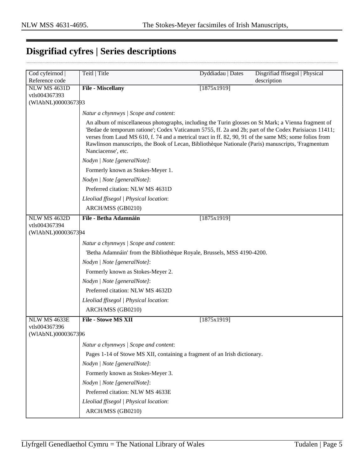# <span id="page-4-0"></span>**Disgrifiad cyfres | Series descriptions**

| Cod cyfeirnod      | Teitl   Title                                                                                                                                                                                                                                                                                                                                                                                                                                     | Dyddiadau   Dates | Disgrifiad ffisegol   Physical |
|--------------------|---------------------------------------------------------------------------------------------------------------------------------------------------------------------------------------------------------------------------------------------------------------------------------------------------------------------------------------------------------------------------------------------------------------------------------------------------|-------------------|--------------------------------|
| Reference code     |                                                                                                                                                                                                                                                                                                                                                                                                                                                   |                   | description                    |
| NLW MS 4631D       | File - Miscellany                                                                                                                                                                                                                                                                                                                                                                                                                                 | [1875x1919]       |                                |
| vtls004367393      |                                                                                                                                                                                                                                                                                                                                                                                                                                                   |                   |                                |
| (WIAbNL)0000367393 |                                                                                                                                                                                                                                                                                                                                                                                                                                                   |                   |                                |
|                    | Natur a chynnwys / Scope and content:                                                                                                                                                                                                                                                                                                                                                                                                             |                   |                                |
|                    | An album of miscellaneous photographs, including the Turin glosses on St Mark; a Vienna fragment of<br>'Bedae de temporum ratione'; Codex Vaticanum 5755, ff. 2a and 2b; part of the Codex Parisiacus 11411;<br>verses from Laud MS 610, f. 74 and a metrical tract in ff. 82, 90, 91 of the same MS; some folios from<br>Rawlinson manuscripts, the Book of Lecan, Bibliothèque Nationale (Paris) manuscripts, 'Fragmentum<br>Nanciacense', etc. |                   |                                |
|                    | Nodyn   Note [generalNote]:                                                                                                                                                                                                                                                                                                                                                                                                                       |                   |                                |
|                    | Formerly known as Stokes-Meyer 1.                                                                                                                                                                                                                                                                                                                                                                                                                 |                   |                                |
|                    | Nodyn   Note [generalNote]:                                                                                                                                                                                                                                                                                                                                                                                                                       |                   |                                |
|                    | Preferred citation: NLW MS 4631D                                                                                                                                                                                                                                                                                                                                                                                                                  |                   |                                |
|                    | Lleoliad ffisegol   Physical location:                                                                                                                                                                                                                                                                                                                                                                                                            |                   |                                |
|                    | ARCH/MSS (GB0210)                                                                                                                                                                                                                                                                                                                                                                                                                                 |                   |                                |
| NLW MS 4632D       | File - Betha Adamnáin                                                                                                                                                                                                                                                                                                                                                                                                                             | [1875x1919]       |                                |
| vtls004367394      |                                                                                                                                                                                                                                                                                                                                                                                                                                                   |                   |                                |
| (WIAbNL)0000367394 |                                                                                                                                                                                                                                                                                                                                                                                                                                                   |                   |                                |
|                    | Natur a chynnwys / Scope and content:                                                                                                                                                                                                                                                                                                                                                                                                             |                   |                                |
|                    | 'Betha Adamnáin' from the Bibliothèque Royale, Brussels, MSS 4190-4200.                                                                                                                                                                                                                                                                                                                                                                           |                   |                                |
|                    | Nodyn   Note [generalNote]:                                                                                                                                                                                                                                                                                                                                                                                                                       |                   |                                |
|                    | Formerly known as Stokes-Meyer 2.                                                                                                                                                                                                                                                                                                                                                                                                                 |                   |                                |
|                    | Nodyn   Note [generalNote]:                                                                                                                                                                                                                                                                                                                                                                                                                       |                   |                                |
|                    | Preferred citation: NLW MS 4632D                                                                                                                                                                                                                                                                                                                                                                                                                  |                   |                                |
|                    | Lleoliad ffisegol   Physical location:                                                                                                                                                                                                                                                                                                                                                                                                            |                   |                                |
|                    | ARCH/MSS (GB0210)                                                                                                                                                                                                                                                                                                                                                                                                                                 |                   |                                |
| NLW MS 4633E       | <b>File - Stowe MS XII</b>                                                                                                                                                                                                                                                                                                                                                                                                                        | [1875x1919]       |                                |
| vtls004367396      |                                                                                                                                                                                                                                                                                                                                                                                                                                                   |                   |                                |
| (WIAbNL)0000367396 |                                                                                                                                                                                                                                                                                                                                                                                                                                                   |                   |                                |
|                    | Natur a chynnwys / Scope and content:                                                                                                                                                                                                                                                                                                                                                                                                             |                   |                                |
|                    | Pages 1-14 of Stowe MS XII, containing a fragment of an Irish dictionary.                                                                                                                                                                                                                                                                                                                                                                         |                   |                                |
|                    | Nodyn   Note [generalNote]:                                                                                                                                                                                                                                                                                                                                                                                                                       |                   |                                |
|                    | Formerly known as Stokes-Meyer 3.                                                                                                                                                                                                                                                                                                                                                                                                                 |                   |                                |
|                    | Nodyn   Note [generalNote]:                                                                                                                                                                                                                                                                                                                                                                                                                       |                   |                                |
|                    | Preferred citation: NLW MS 4633E                                                                                                                                                                                                                                                                                                                                                                                                                  |                   |                                |
|                    | Lleoliad ffisegol   Physical location:                                                                                                                                                                                                                                                                                                                                                                                                            |                   |                                |
|                    | ARCH/MSS (GB0210)                                                                                                                                                                                                                                                                                                                                                                                                                                 |                   |                                |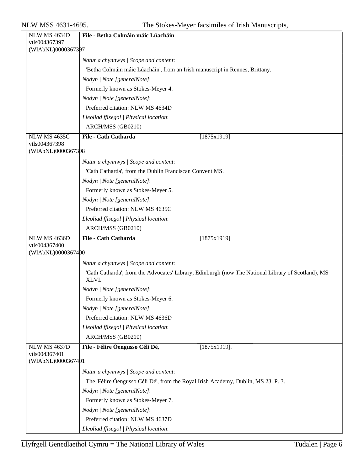| NLW MS 4634D                        | File - Betha Colmáin máic Lúacháin                                                                          |
|-------------------------------------|-------------------------------------------------------------------------------------------------------------|
| vtls004367397                       |                                                                                                             |
| (WIAbNL)0000367397                  |                                                                                                             |
|                                     | Natur a chynnwys / Scope and content:                                                                       |
|                                     | 'Betha Colmáin máic Lúacháin', from an Irish manuscript in Rennes, Brittany.                                |
|                                     | Nodyn   Note [generalNote]:                                                                                 |
|                                     | Formerly known as Stokes-Meyer 4.                                                                           |
|                                     | Nodyn   Note [generalNote]:                                                                                 |
|                                     | Preferred citation: NLW MS 4634D                                                                            |
|                                     | Lleoliad ffisegol   Physical location:                                                                      |
|                                     | ARCH/MSS (GB0210)                                                                                           |
| <b>NLW MS 4635C</b>                 | File - Cath Catharda<br>[1875x1919]                                                                         |
| vtls004367398                       |                                                                                                             |
| (WIAbNL)0000367398                  |                                                                                                             |
|                                     | Natur a chynnwys / Scope and content:                                                                       |
|                                     | 'Cath Catharda', from the Dublin Franciscan Convent MS.                                                     |
|                                     | Nodyn   Note [generalNote]:                                                                                 |
|                                     | Formerly known as Stokes-Meyer 5.                                                                           |
|                                     | Nodyn   Note [generalNote]:                                                                                 |
|                                     | Preferred citation: NLW MS 4635C                                                                            |
|                                     | Lleoliad ffisegol   Physical location:                                                                      |
|                                     | ARCH/MSS (GB0210)                                                                                           |
| <b>NLW MS 4636D</b>                 | File - Cath Catharda<br>[1875x1919]                                                                         |
| vtls004367400                       |                                                                                                             |
| (WIAbNL)0000367400                  |                                                                                                             |
|                                     | Natur a chynnwys / Scope and content:                                                                       |
|                                     | 'Cath Catharda', from the Advocates' Library, Edinburgh (now The National Library of Scotland), MS<br>XLVI. |
|                                     | Nodyn   Note [generalNote]:                                                                                 |
|                                     | Formerly known as Stokes-Meyer 6.                                                                           |
|                                     | Nodyn   Note [generalNote]:                                                                                 |
|                                     | Preferred citation: NLW MS 4636D                                                                            |
|                                     | Lleoliad ffisegol   Physical location:                                                                      |
|                                     | ARCH/MSS (GB0210)                                                                                           |
| <b>NLW MS 4637D</b>                 | File - Félire Óengusso Céli Dé,<br>$[1875x1919]$ .                                                          |
| vtls004367401<br>(WIAbNL)0000367401 |                                                                                                             |
|                                     | Natur a chynnwys / Scope and content:                                                                       |
|                                     | The 'Félire Óengusso Céli Dé', from the Royal Irish Academy, Dublin, MS 23. P. 3.                           |
|                                     | Nodyn   Note [generalNote]:                                                                                 |
|                                     | Formerly known as Stokes-Meyer 7.                                                                           |
|                                     | Nodyn   Note [generalNote]:                                                                                 |
|                                     | Preferred citation: NLW MS 4637D                                                                            |
|                                     | Lleoliad ffisegol   Physical location:                                                                      |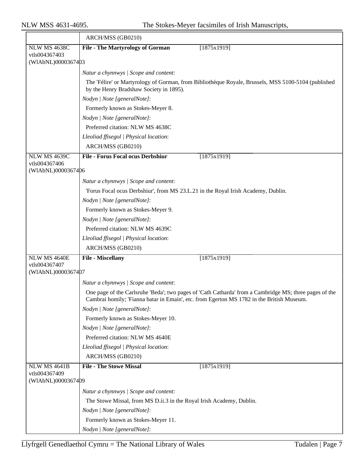|                                     | ARCH/MSS (GB0210)                                                                                                                                                                                   |
|-------------------------------------|-----------------------------------------------------------------------------------------------------------------------------------------------------------------------------------------------------|
| NLW MS 4638C                        | <b>File - The Martyrology of Gorman</b><br>[1875x1919]                                                                                                                                              |
| vtls004367403<br>(WIAbNL)0000367403 |                                                                                                                                                                                                     |
|                                     |                                                                                                                                                                                                     |
|                                     | Natur a chynnwys / Scope and content:                                                                                                                                                               |
|                                     | The 'Félire' or Martyrology of Gorman, from Bibliothèque Royale, Brussels, MSS 5100-5104 (published<br>by the Henry Bradshaw Society in 1895).                                                      |
|                                     | Nodyn   Note [generalNote]:                                                                                                                                                                         |
|                                     | Formerly known as Stokes-Meyer 8.                                                                                                                                                                   |
|                                     | Nodyn   Note [generalNote]:                                                                                                                                                                         |
|                                     | Preferred citation: NLW MS 4638C                                                                                                                                                                    |
|                                     | Lleoliad ffisegol   Physical location:                                                                                                                                                              |
|                                     | ARCH/MSS (GB0210)                                                                                                                                                                                   |
| <b>NLW MS 4639C</b>                 | <b>File - Forus Focal ocus Derbshiur</b><br>[1875x1919]                                                                                                                                             |
| vtls004367406<br>(WIAbNL)0000367406 |                                                                                                                                                                                                     |
|                                     |                                                                                                                                                                                                     |
|                                     | Natur a chynnwys / Scope and content:                                                                                                                                                               |
|                                     | 'Forus Focal ocus Derbshiur', from MS 23.L.21 in the Royal Irish Academy, Dublin.                                                                                                                   |
|                                     | Nodyn   Note [generalNote]:                                                                                                                                                                         |
|                                     | Formerly known as Stokes-Meyer 9.                                                                                                                                                                   |
|                                     | Nodyn   Note [generalNote]:                                                                                                                                                                         |
|                                     | Preferred citation: NLW MS 4639C                                                                                                                                                                    |
|                                     | Lleoliad ffisegol   Physical location:                                                                                                                                                              |
|                                     | ARCH/MSS (GB0210)                                                                                                                                                                                   |
| NLW MS 4640E<br>vtls004367407       | File - Miscellany<br>[1875x1919]                                                                                                                                                                    |
| (WIAbNL)0000367407                  |                                                                                                                                                                                                     |
|                                     | Natur a chynnwys / Scope and content:                                                                                                                                                               |
|                                     | One page of the Carlsruhe 'Beda'; two pages of 'Cath Catharda' from a Cambridge MS; three pages of the<br>Cambrai homily; 'Fianna batar in Emain', etc. from Egerton MS 1782 in the British Museum. |
|                                     | Nodyn   Note [generalNote]:                                                                                                                                                                         |
|                                     | Formerly known as Stokes-Meyer 10.                                                                                                                                                                  |
|                                     | Nodyn   Note [generalNote]:                                                                                                                                                                         |
|                                     | Preferred citation: NLW MS 4640E                                                                                                                                                                    |
|                                     | Lleoliad ffisegol   Physical location:                                                                                                                                                              |
|                                     | ARCH/MSS (GB0210)                                                                                                                                                                                   |
| <b>NLW MS 4641B</b>                 | <b>File - The Stowe Missal</b><br>[1875x1919]                                                                                                                                                       |
| vtls004367409<br>(WIAbNL)0000367409 |                                                                                                                                                                                                     |
|                                     | Natur a chynnwys / Scope and content:                                                                                                                                                               |
|                                     | The Stowe Missal, from MS D.ii.3 in the Royal Irish Academy, Dublin.                                                                                                                                |
|                                     | Nodyn   Note [generalNote]:                                                                                                                                                                         |
|                                     | Formerly known as Stokes-Meyer 11.                                                                                                                                                                  |
|                                     | Nodyn   Note [generalNote]:                                                                                                                                                                         |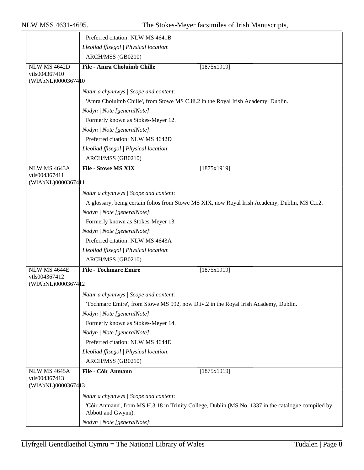|                                     | Preferred citation: NLW MS 4641B                                                                                         |  |
|-------------------------------------|--------------------------------------------------------------------------------------------------------------------------|--|
|                                     | Lleoliad ffisegol   Physical location:                                                                                   |  |
|                                     | ARCH/MSS (GB0210)                                                                                                        |  |
| <b>NLW MS 4642D</b>                 | <b>File - Amra Choluimb Chille</b><br>[1875x1919]                                                                        |  |
| vtls004367410                       |                                                                                                                          |  |
| (WIAbNL)0000367410                  |                                                                                                                          |  |
|                                     | Natur a chynnwys / Scope and content:                                                                                    |  |
|                                     | 'Amra Choluimb Chille', from Stowe MS C.iii.2 in the Royal Irish Academy, Dublin.                                        |  |
|                                     | Nodyn   Note [generalNote]:                                                                                              |  |
|                                     | Formerly known as Stokes-Meyer 12.                                                                                       |  |
|                                     | Nodyn   Note [generalNote]:                                                                                              |  |
|                                     | Preferred citation: NLW MS 4642D                                                                                         |  |
|                                     | Lleoliad ffisegol   Physical location:                                                                                   |  |
|                                     | ARCH/MSS (GB0210)                                                                                                        |  |
| NLW MS 4643A                        | <b>File - Stowe MS XIX</b><br>[1875x1919]                                                                                |  |
| vtls004367411<br>(WIAbNL)0000367411 |                                                                                                                          |  |
|                                     | Natur a chynnwys / Scope and content:                                                                                    |  |
|                                     | A glossary, being certain folios from Stowe MS XIX, now Royal Irish Academy, Dublin, MS C.i.2.                           |  |
|                                     | Nodyn   Note [generalNote]:                                                                                              |  |
|                                     | Formerly known as Stokes-Meyer 13.                                                                                       |  |
|                                     | Nodyn   Note [generalNote]:                                                                                              |  |
|                                     | Preferred citation: NLW MS 4643A                                                                                         |  |
|                                     | Lleoliad ffisegol   Physical location:                                                                                   |  |
|                                     | ARCH/MSS (GB0210)                                                                                                        |  |
| NLW MS 4644E                        | <b>File - Tochmarc Emire</b><br>[1875x1919]                                                                              |  |
| vtls004367412                       |                                                                                                                          |  |
| (WIAbNL)00003674 12                 |                                                                                                                          |  |
|                                     | Natur a chynnwys / Scope and content:                                                                                    |  |
|                                     | Tochmarc Emire', from Stowe MS 992, now D.iv.2 in the Royal Irish Academy, Dublin.                                       |  |
|                                     | Nodyn   Note [generalNote]:                                                                                              |  |
|                                     | Formerly known as Stokes-Meyer 14.                                                                                       |  |
|                                     | Nodyn   Note [generalNote]:                                                                                              |  |
|                                     | Preferred citation: NLW MS 4644E                                                                                         |  |
|                                     | Lleoliad ffisegol   Physical location:                                                                                   |  |
|                                     | ARCH/MSS (GB0210)                                                                                                        |  |
| NLW MS 4645A<br>vtls004367413       | File - Cóir Anmann<br>[1875x1919]                                                                                        |  |
| (WIAbNL)0000367413                  |                                                                                                                          |  |
|                                     | Natur a chynnwys / Scope and content:                                                                                    |  |
|                                     | 'Cóir Anmann', from MS H.3.18 in Trinity College, Dublin (MS No. 1337 in the catalogue compiled by<br>Abbott and Gwynn). |  |
|                                     | Nodyn   Note [generalNote]:                                                                                              |  |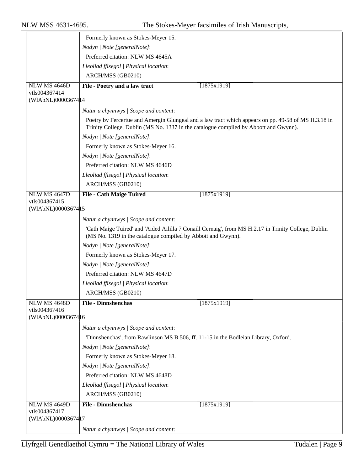|                                     | Formerly known as Stokes-Meyer 15.                                                   |                                                                                                      |
|-------------------------------------|--------------------------------------------------------------------------------------|------------------------------------------------------------------------------------------------------|
|                                     | Nodyn   Note [generalNote]:                                                          |                                                                                                      |
|                                     | Preferred citation: NLW MS 4645A                                                     |                                                                                                      |
|                                     | Lleoliad ffisegol   Physical location:                                               |                                                                                                      |
|                                     | ARCH/MSS (GB0210)                                                                    |                                                                                                      |
| NLW MS 4646D                        | File - Poetry and a law tract                                                        | [1875x1919]                                                                                          |
| vtls004367414                       |                                                                                      |                                                                                                      |
| (WIAbNL)00003674 14                 |                                                                                      |                                                                                                      |
|                                     | Natur a chynnwys / Scope and content:                                                |                                                                                                      |
|                                     | Trinity College, Dublin (MS No. 1337 in the catalogue compiled by Abbott and Gwynn). | Poetry by Fercertue and Amergin Glungeal and a law tract which appears on pp. 49-58 of MS H.3.18 in  |
|                                     | Nodyn   Note [generalNote]:                                                          |                                                                                                      |
|                                     | Formerly known as Stokes-Meyer 16.                                                   |                                                                                                      |
|                                     | Nodyn   Note [generalNote]:                                                          |                                                                                                      |
|                                     | Preferred citation: NLW MS 4646D                                                     |                                                                                                      |
|                                     | Lleoliad ffisegol   Physical location:                                               |                                                                                                      |
|                                     | ARCH/MSS (GB0210)                                                                    |                                                                                                      |
| NLW MS 4647D                        | <b>File - Cath Maige Tuired</b>                                                      | [1875x1919]                                                                                          |
| vtls004367415                       |                                                                                      |                                                                                                      |
| (WIAbNL)0000367415                  |                                                                                      |                                                                                                      |
|                                     | Natur a chynnwys / Scope and content:                                                |                                                                                                      |
|                                     | (MS No. 1319 in the catalogue compiled by Abbott and Gwynn).                         | 'Cath Maige Tuired' and 'Aided Aililla 7 Conaill Cernaig', from MS H.2.17 in Trinity College, Dublin |
|                                     | Nodyn   Note [generalNote]:                                                          |                                                                                                      |
|                                     | Formerly known as Stokes-Meyer 17.                                                   |                                                                                                      |
|                                     | Nodyn   Note [generalNote]:                                                          |                                                                                                      |
|                                     | Preferred citation: NLW MS 4647D                                                     |                                                                                                      |
|                                     | Lleoliad ffisegol   Physical location:                                               |                                                                                                      |
|                                     | ARCH/MSS (GB0210)                                                                    |                                                                                                      |
| <b>NLW MS 4648D</b>                 | <b>File - Dinnshenchas</b>                                                           | [1875x1919]                                                                                          |
| vtls004367416<br>(WIAbNL)0000367416 |                                                                                      |                                                                                                      |
|                                     | Natur a chynnwys / Scope and content:                                                |                                                                                                      |
|                                     | 'Dinnshenchas', from Rawlinson MS B 506, ff. 11-15 in the Bodleian Library, Oxford.  |                                                                                                      |
|                                     | Nodyn   Note [generalNote]:                                                          |                                                                                                      |
|                                     | Formerly known as Stokes-Meyer 18.                                                   |                                                                                                      |
|                                     | Nodyn   Note [generalNote]:                                                          |                                                                                                      |
|                                     | Preferred citation: NLW MS 4648D                                                     |                                                                                                      |
|                                     | Lleoliad ffisegol   Physical location:                                               |                                                                                                      |
|                                     | ARCH/MSS (GB0210)                                                                    |                                                                                                      |
| NLW MS 4649D                        | <b>File - Dinnshenchas</b>                                                           | [1875x1919]                                                                                          |
| vtls004367417                       |                                                                                      |                                                                                                      |
| (WIAbNL)0000367417                  |                                                                                      |                                                                                                      |
|                                     | Natur a chynnwys / Scope and content:                                                |                                                                                                      |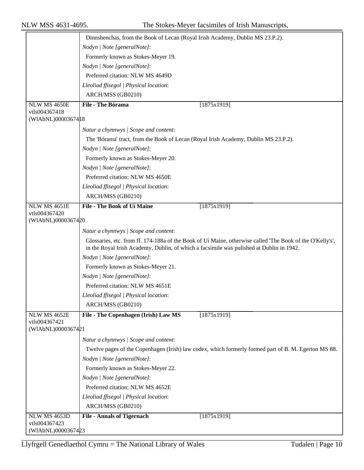|                                     | Dinnshenchas, from the Book of Lecan (Royal Irish Academy, Dublin MS 23.P.2).                                                                                                                         |
|-------------------------------------|-------------------------------------------------------------------------------------------------------------------------------------------------------------------------------------------------------|
|                                     | Nodyn   Note [generalNote]:                                                                                                                                                                           |
|                                     | Formerly known as Stokes-Meyer 19.                                                                                                                                                                    |
|                                     | Nodyn   Note [generalNote]:                                                                                                                                                                           |
|                                     | Preferred citation: NLW MS 4649D                                                                                                                                                                      |
|                                     |                                                                                                                                                                                                       |
|                                     | Lleoliad ffisegol   Physical location:                                                                                                                                                                |
|                                     | ARCH/MSS (GB0210)                                                                                                                                                                                     |
| NLW MS 4650E<br>vtls004367418       | File - The Bórama<br>[1875x1919]                                                                                                                                                                      |
| (WIAbNL)00003674 18                 |                                                                                                                                                                                                       |
|                                     | Natur a chynnwys / Scope and content:                                                                                                                                                                 |
|                                     | The 'Bórama' tract, from the Book of Lecan (Royal Irish Academy, Dublin MS 23.P.2).                                                                                                                   |
|                                     | Nodyn   Note [generalNote]:                                                                                                                                                                           |
|                                     | Formerly known as Stokes-Meyer 20.                                                                                                                                                                    |
|                                     | Nodyn   Note [generalNote]:                                                                                                                                                                           |
|                                     | Preferred citation: NLW MS 4650E                                                                                                                                                                      |
|                                     | Lleoliad ffisegol   Physical location:                                                                                                                                                                |
|                                     | ARCH/MSS (GB0210)                                                                                                                                                                                     |
| <b>NLW MS 4651E</b>                 | File - The Book of Uí Maine<br>[1875x1919]                                                                                                                                                            |
| vtls004367420                       |                                                                                                                                                                                                       |
| (WIAbNL)0000367420                  |                                                                                                                                                                                                       |
|                                     | Natur a chynnwys / Scope and content:                                                                                                                                                                 |
|                                     | Glossaries, etc. from ff. 174-188a of the Book of Uí Maine, otherwise called 'The Book of the O'Kelly's',<br>in the Royal Irish Academy, Dublin, of which a facsimile was pulished at Dublin in 1942. |
|                                     | Nodyn   Note [generalNote]:                                                                                                                                                                           |
|                                     | Formerly known as Stokes-Meyer 21.                                                                                                                                                                    |
|                                     | Nodyn   Note [generalNote]:                                                                                                                                                                           |
|                                     | Preferred citation: NLW MS 4651E                                                                                                                                                                      |
|                                     | Lleoliad ffisegol   Physical location:                                                                                                                                                                |
|                                     | ARCH/MSS (GB0210)                                                                                                                                                                                     |
| NLW MS 4652E                        | File - The Copenhagen (Irish) Law MS<br>[1875x1919]                                                                                                                                                   |
| vtls004367421                       |                                                                                                                                                                                                       |
| (WIAbNL)0000367421                  |                                                                                                                                                                                                       |
|                                     | Natur a chynnwys / Scope and content:                                                                                                                                                                 |
|                                     | Twelve pages of the Copenhagen (Irish) law codex, which formerly formed part of B. M. Egerton MS 88.                                                                                                  |
|                                     | Nodyn   Note [generalNote]:                                                                                                                                                                           |
|                                     | Formerly known as Stokes-Meyer 22.                                                                                                                                                                    |
|                                     | Nodyn   Note [generalNote]:                                                                                                                                                                           |
|                                     | Preferred citation: NLW MS 4652E                                                                                                                                                                      |
|                                     | Lleoliad ffisegol   Physical location:                                                                                                                                                                |
|                                     | ARCH/MSS (GB0210)                                                                                                                                                                                     |
| NLW MS 4653D                        | <b>File - Annals of Tigernach</b><br>[1875x1919]                                                                                                                                                      |
| vtls004367423<br>(WIAbNL)0000367423 |                                                                                                                                                                                                       |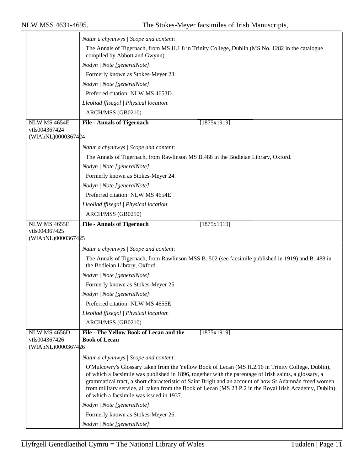|                                     | Natur a chynnwys / Scope and content:                                                                                                                                                                                                                                                                                                                                                                                                                                        |
|-------------------------------------|------------------------------------------------------------------------------------------------------------------------------------------------------------------------------------------------------------------------------------------------------------------------------------------------------------------------------------------------------------------------------------------------------------------------------------------------------------------------------|
|                                     | The Annals of Tigernach, from MS H.1.8 in Trinity College, Dublin (MS No. 1282 in the catalogue                                                                                                                                                                                                                                                                                                                                                                              |
|                                     | compiled by Abbott and Gwynn).                                                                                                                                                                                                                                                                                                                                                                                                                                               |
|                                     | Nodyn   Note [generalNote]:                                                                                                                                                                                                                                                                                                                                                                                                                                                  |
|                                     | Formerly known as Stokes-Meyer 23.                                                                                                                                                                                                                                                                                                                                                                                                                                           |
|                                     | Nodyn   Note [generalNote]:                                                                                                                                                                                                                                                                                                                                                                                                                                                  |
|                                     | Preferred citation: NLW MS 4653D                                                                                                                                                                                                                                                                                                                                                                                                                                             |
|                                     | Lleoliad ffisegol   Physical location:                                                                                                                                                                                                                                                                                                                                                                                                                                       |
|                                     | ARCH/MSS (GB0210)                                                                                                                                                                                                                                                                                                                                                                                                                                                            |
| <b>NLW MS 4654E</b>                 | <b>File - Annals of Tigernach</b><br>[1875x1919]                                                                                                                                                                                                                                                                                                                                                                                                                             |
| vtls004367424<br>(WIAbNL)0000367424 |                                                                                                                                                                                                                                                                                                                                                                                                                                                                              |
|                                     | Natur a chynnwys / Scope and content:                                                                                                                                                                                                                                                                                                                                                                                                                                        |
|                                     | The Annals of Tigernach, from Rawlinson MS B.488 in the Bodleian Library, Oxford.                                                                                                                                                                                                                                                                                                                                                                                            |
|                                     | Nodyn   Note [generalNote]:                                                                                                                                                                                                                                                                                                                                                                                                                                                  |
|                                     | Formerly known as Stokes-Meyer 24.                                                                                                                                                                                                                                                                                                                                                                                                                                           |
|                                     | Nodyn   Note [generalNote]:                                                                                                                                                                                                                                                                                                                                                                                                                                                  |
|                                     | Preferred citation: NLW MS 4654E                                                                                                                                                                                                                                                                                                                                                                                                                                             |
|                                     | Lleoliad ffisegol   Physical location:                                                                                                                                                                                                                                                                                                                                                                                                                                       |
|                                     | ARCH/MSS (GB0210)                                                                                                                                                                                                                                                                                                                                                                                                                                                            |
| <b>NLW MS 4655E</b>                 | <b>File - Annals of Tigernach</b><br>[1875x1919]                                                                                                                                                                                                                                                                                                                                                                                                                             |
| vtls004367425<br>(WIAbNL)0000367425 |                                                                                                                                                                                                                                                                                                                                                                                                                                                                              |
|                                     |                                                                                                                                                                                                                                                                                                                                                                                                                                                                              |
|                                     | Natur a chynnwys / Scope and content:                                                                                                                                                                                                                                                                                                                                                                                                                                        |
|                                     | The Annals of Tigernach, from Rawlinson MSS B. 502 (see facsimile published in 1919) and B. 488 in<br>the Bodleian Library, Oxford.                                                                                                                                                                                                                                                                                                                                          |
|                                     | Nodyn   Note [generalNote]:                                                                                                                                                                                                                                                                                                                                                                                                                                                  |
|                                     | Formerly known as Stokes-Meyer 25.                                                                                                                                                                                                                                                                                                                                                                                                                                           |
|                                     | Nodyn   Note [generalNote]:                                                                                                                                                                                                                                                                                                                                                                                                                                                  |
|                                     | Preferred citation: NLW MS 4655E                                                                                                                                                                                                                                                                                                                                                                                                                                             |
|                                     | Lleoliad ffisegol   Physical location:                                                                                                                                                                                                                                                                                                                                                                                                                                       |
|                                     | ARCH/MSS (GB0210)                                                                                                                                                                                                                                                                                                                                                                                                                                                            |
| <b>NLW MS 4656D</b>                 | File - The Yellow Book of Lecan and the<br>[1875x1919]                                                                                                                                                                                                                                                                                                                                                                                                                       |
| vtls004367426                       | <b>Book of Lecan</b>                                                                                                                                                                                                                                                                                                                                                                                                                                                         |
| (WIAbNL)0000367426                  |                                                                                                                                                                                                                                                                                                                                                                                                                                                                              |
|                                     | Natur a chynnwys / Scope and content:                                                                                                                                                                                                                                                                                                                                                                                                                                        |
|                                     | O'Mulcowry's Glossary taken from the Yellow Book of Lecan (MS H.2.16 in Trinity College, Dublin),<br>of which a facsimile was published in 1896, together with the parentage of Irish saints, a glossary, a<br>grammatical tract, a short characteristic of Saint Brigit and an account of how St Adamnán freed women<br>from military service, all taken from the Book of Lecan (MS 23.P.2 in the Royal Irish Academy, Dublin),<br>of which a facsimile was issued in 1937. |
|                                     | Nodyn   Note [generalNote]:                                                                                                                                                                                                                                                                                                                                                                                                                                                  |
|                                     | Formerly known as Stokes-Meyer 26.                                                                                                                                                                                                                                                                                                                                                                                                                                           |
|                                     | Nodyn   Note [generalNote]:                                                                                                                                                                                                                                                                                                                                                                                                                                                  |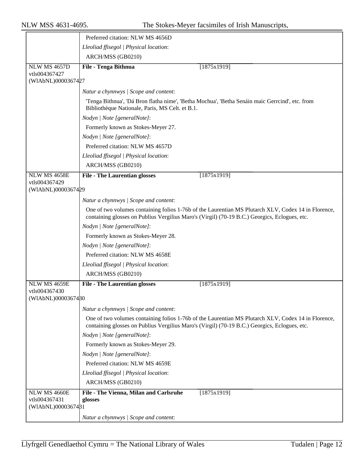|                                     | Preferred citation: NLW MS 4656D                                                                                                                                                                     |
|-------------------------------------|------------------------------------------------------------------------------------------------------------------------------------------------------------------------------------------------------|
|                                     | Lleoliad ffisegol   Physical location:                                                                                                                                                               |
|                                     | ARCH/MSS (GB0210)                                                                                                                                                                                    |
| <b>NLW MS 4657D</b>                 | File - Tenga Bithnua<br>[1875x1919]                                                                                                                                                                  |
| vtls004367427<br>(WIAbNL)0000367427 |                                                                                                                                                                                                      |
|                                     |                                                                                                                                                                                                      |
|                                     | Natur a chynnwys / Scope and content:                                                                                                                                                                |
|                                     | 'Tenga Bithnua', 'Dá Bron flatha nime', 'Betha Mochua', 'Betha Senáin maic Gerrcind', etc. from<br>Bibliothèque Nationale, Paris, MS Celt. et B.1.                                                   |
|                                     | Nodyn   Note [generalNote]:                                                                                                                                                                          |
|                                     | Formerly known as Stokes-Meyer 27.                                                                                                                                                                   |
|                                     | Nodyn   Note [generalNote]:                                                                                                                                                                          |
|                                     | Preferred citation: NLW MS 4657D                                                                                                                                                                     |
|                                     | Lleoliad ffisegol   Physical location:                                                                                                                                                               |
|                                     | ARCH/MSS (GB0210)                                                                                                                                                                                    |
| NLW MS 4658E                        | <b>File - The Laurentian glosses</b><br>[1875x1919]                                                                                                                                                  |
| vtls004367429<br>(WIAbNL)0000367429 |                                                                                                                                                                                                      |
|                                     | Natur a chynnwys / Scope and content:                                                                                                                                                                |
|                                     | One of two volumes containing folios 1-76b of the Laurentian MS Plutarch XLV, Codex 14 in Florence,                                                                                                  |
|                                     | containing glosses on Publius Vergilius Maro's (Virgil) (70-19 B.C.) Georgics, Eclogues, etc.<br>Nodyn   Note [generalNote]:                                                                         |
|                                     | Formerly known as Stokes-Meyer 28.                                                                                                                                                                   |
|                                     | Nodyn   Note [generalNote]:                                                                                                                                                                          |
|                                     | Preferred citation: NLW MS 4658E                                                                                                                                                                     |
|                                     | Lleoliad ffisegol   Physical location:                                                                                                                                                               |
|                                     | ARCH/MSS (GB0210)                                                                                                                                                                                    |
| <b>NLW MS 4659E</b>                 | <b>File - The Laurentian glosses</b><br>[1875x1919]                                                                                                                                                  |
| vtls004367430                       |                                                                                                                                                                                                      |
| (WIAbNL)0000367480                  |                                                                                                                                                                                                      |
|                                     | Natur a chynnwys / Scope and content:                                                                                                                                                                |
|                                     | One of two volumes containing folios 1-76b of the Laurentian MS Plutarch XLV, Codex 14 in Florence,<br>containing glosses on Publius Vergilius Maro's (Virgil) (70-19 B.C.) Georgics, Eclogues, etc. |
|                                     | Nodyn   Note [generalNote]:                                                                                                                                                                          |
|                                     | Formerly known as Stokes-Meyer 29.                                                                                                                                                                   |
|                                     | Nodyn   Note [generalNote]:                                                                                                                                                                          |
|                                     | Preferred citation: NLW MS 4659E                                                                                                                                                                     |
|                                     | Lleoliad ffisegol   Physical location:                                                                                                                                                               |
|                                     | ARCH/MSS (GB0210)                                                                                                                                                                                    |
| NLW MS 4660E                        | File - The Vienna, Milan and Carlsruhe<br>[1875x1919]                                                                                                                                                |
| vtls004367431                       | glosses                                                                                                                                                                                              |
| (WIAbNL)0000367481                  |                                                                                                                                                                                                      |
|                                     | Natur a chynnwys / Scope and content:                                                                                                                                                                |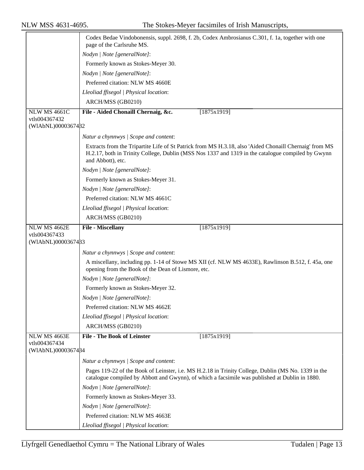|                     | Codex Bedae Vindobonensis, suppl. 2698, f. 2b, Codex Ambrosianus C.301, f. 1a, together with one<br>page of the Carlsruhe MS.                                                                                                    |
|---------------------|----------------------------------------------------------------------------------------------------------------------------------------------------------------------------------------------------------------------------------|
|                     | Nodyn   Note [generalNote]:                                                                                                                                                                                                      |
|                     | Formerly known as Stokes-Meyer 30.                                                                                                                                                                                               |
|                     | Nodyn   Note [generalNote]:                                                                                                                                                                                                      |
|                     | Preferred citation: NLW MS 4660E                                                                                                                                                                                                 |
|                     | Lleoliad ffisegol   Physical location:                                                                                                                                                                                           |
|                     | ARCH/MSS (GB0210)                                                                                                                                                                                                                |
| <b>NLW MS 4661C</b> | File - Aided Chonaill Chernaig, &c.<br>[1875x1919]                                                                                                                                                                               |
| vtls004367432       |                                                                                                                                                                                                                                  |
| (WIAbNL)0000367482  |                                                                                                                                                                                                                                  |
|                     | Natur a chynnwys / Scope and content:                                                                                                                                                                                            |
|                     | Extracts from the Tripartite Life of St Patrick from MS H.3.18, also 'Aided Chonaill Chernaig' from MS<br>H.2.17, both in Trinity College, Dublin (MSS Nos 1337 and 1319 in the catalogue compiled by Gwynn<br>and Abbott), etc. |
|                     | Nodyn   Note [generalNote]:                                                                                                                                                                                                      |
|                     | Formerly known as Stokes-Meyer 31.                                                                                                                                                                                               |
|                     | Nodyn   Note [generalNote]:                                                                                                                                                                                                      |
|                     | Preferred citation: NLW MS 4661C                                                                                                                                                                                                 |
|                     | Lleoliad ffisegol   Physical location:                                                                                                                                                                                           |
|                     | ARCH/MSS (GB0210)                                                                                                                                                                                                                |
| NLW MS 4662E        | File - Miscellany<br>[1875x1919]                                                                                                                                                                                                 |
| vtls004367433       |                                                                                                                                                                                                                                  |
| (WIAbNL)0000367433  |                                                                                                                                                                                                                                  |
|                     | Natur a chynnwys / Scope and content:                                                                                                                                                                                            |
|                     | A miscellany, including pp. 1-14 of Stowe MS XII (cf. NLW MS 4633E), Rawlinson B.512, f. 45a, one<br>opening from the Book of the Dean of Lismore, etc.                                                                          |
|                     | Nodyn   Note [generalNote]:                                                                                                                                                                                                      |
|                     | Formerly known as Stokes-Meyer 32.                                                                                                                                                                                               |
|                     | Nodyn   Note [generalNote]:                                                                                                                                                                                                      |
|                     | Preferred citation: NLW MS 4662E                                                                                                                                                                                                 |
|                     | Lleoliad ffisegol   Physical location:                                                                                                                                                                                           |
|                     | ARCH/MSS (GB0210)                                                                                                                                                                                                                |
| NLW MS 4663E        | <b>File - The Book of Leinster</b><br>[1875x1919]                                                                                                                                                                                |
| vtls004367434       |                                                                                                                                                                                                                                  |
| (WIAbNL)0000367484  |                                                                                                                                                                                                                                  |
|                     | Natur a chynnwys / Scope and content:                                                                                                                                                                                            |
|                     | Pages 119-22 of the Book of Leinster, i.e. MS H.2.18 in Trinity College, Dublin (MS No. 1339 in the<br>catalogue compiled by Abbott and Gwynn), of which a facsimile was published at Dublin in 1880.                            |
|                     | Nodyn   Note [generalNote]:                                                                                                                                                                                                      |
|                     | Formerly known as Stokes-Meyer 33.                                                                                                                                                                                               |
|                     | Nodyn   Note [generalNote]:                                                                                                                                                                                                      |
|                     | Preferred citation: NLW MS 4663E                                                                                                                                                                                                 |
|                     | Lleoliad ffisegol   Physical location:                                                                                                                                                                                           |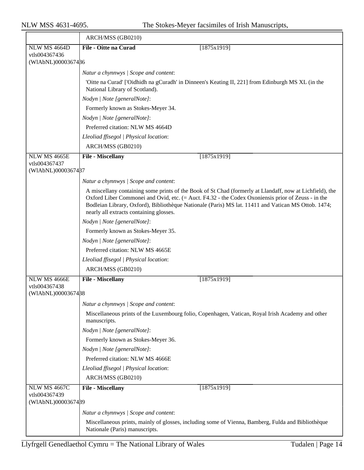|                                     | ARCH/MSS (GB0210)                                                                                                                                                                                                                                                                                                                                                |
|-------------------------------------|------------------------------------------------------------------------------------------------------------------------------------------------------------------------------------------------------------------------------------------------------------------------------------------------------------------------------------------------------------------|
| <b>NLW MS 4664D</b>                 | File - Oitte na Curad<br>[1875x1919]                                                                                                                                                                                                                                                                                                                             |
| vtls004367436<br>(WIAbNL)0000367486 |                                                                                                                                                                                                                                                                                                                                                                  |
|                                     |                                                                                                                                                                                                                                                                                                                                                                  |
|                                     | Natur a chynnwys / Scope and content:                                                                                                                                                                                                                                                                                                                            |
|                                     | 'Oitte na Curad' ['Oidhidh na gCuradh' in Dinneen's Keating II, 221] from Edinburgh MS XL (in the<br>National Library of Scotland).                                                                                                                                                                                                                              |
|                                     | Nodyn   Note [generalNote]:                                                                                                                                                                                                                                                                                                                                      |
|                                     | Formerly known as Stokes-Meyer 34.                                                                                                                                                                                                                                                                                                                               |
|                                     | Nodyn   Note [generalNote]:                                                                                                                                                                                                                                                                                                                                      |
|                                     | Preferred citation: NLW MS 4664D                                                                                                                                                                                                                                                                                                                                 |
|                                     | Lleoliad ffisegol   Physical location:                                                                                                                                                                                                                                                                                                                           |
|                                     | ARCH/MSS (GB0210)                                                                                                                                                                                                                                                                                                                                                |
| NLW MS 4665E                        | <b>File - Miscellany</b><br>[1875x1919]                                                                                                                                                                                                                                                                                                                          |
| vtls004367437<br>(WIAbNL)0000367487 |                                                                                                                                                                                                                                                                                                                                                                  |
|                                     |                                                                                                                                                                                                                                                                                                                                                                  |
|                                     | Natur a chynnwys / Scope and content:                                                                                                                                                                                                                                                                                                                            |
|                                     | A miscellany containing some prints of the Book of St Chad (formerly at Llandaff, now at Lichfield), the<br>Oxford Liber Commonei and Ovid, etc. (= Auct. F4.32 - the Codex Oxoniensis prior of Zeuss - in the<br>Bodleian Library, Oxford), Bibliothèque Nationale (Paris) MS lat. 11411 and Vatican MS Ottob. 1474;<br>nearly all extracts containing glosses. |
|                                     | Nodyn   Note [generalNote]:                                                                                                                                                                                                                                                                                                                                      |
|                                     | Formerly known as Stokes-Meyer 35.                                                                                                                                                                                                                                                                                                                               |
|                                     | Nodyn   Note [generalNote]:                                                                                                                                                                                                                                                                                                                                      |
|                                     | Preferred citation: NLW MS 4665E                                                                                                                                                                                                                                                                                                                                 |
|                                     | Lleoliad ffisegol   Physical location:                                                                                                                                                                                                                                                                                                                           |
|                                     | ARCH/MSS (GB0210)                                                                                                                                                                                                                                                                                                                                                |
| NLW MS 4666E                        | File - Miscellany<br>[1875x1919]                                                                                                                                                                                                                                                                                                                                 |
| vtls004367438                       |                                                                                                                                                                                                                                                                                                                                                                  |
| (WIAbNL)0000367488                  |                                                                                                                                                                                                                                                                                                                                                                  |
|                                     | Natur a chynnwys / Scope and content:                                                                                                                                                                                                                                                                                                                            |
|                                     | Miscellaneous prints of the Luxembourg folio, Copenhagen, Vatican, Royal Irish Academy and other<br>manuscripts.                                                                                                                                                                                                                                                 |
|                                     | Nodyn   Note [generalNote]:                                                                                                                                                                                                                                                                                                                                      |
|                                     | Formerly known as Stokes-Meyer 36.                                                                                                                                                                                                                                                                                                                               |
|                                     | Nodyn   Note [generalNote]:                                                                                                                                                                                                                                                                                                                                      |
|                                     | Preferred citation: NLW MS 4666E                                                                                                                                                                                                                                                                                                                                 |
|                                     | Lleoliad ffisegol   Physical location:                                                                                                                                                                                                                                                                                                                           |
|                                     | ARCH/MSS (GB0210)                                                                                                                                                                                                                                                                                                                                                |
| <b>NLW MS 4667C</b>                 | <b>File - Miscellany</b><br>[1875x1919]                                                                                                                                                                                                                                                                                                                          |
| vtls004367439                       |                                                                                                                                                                                                                                                                                                                                                                  |
| (WIAbNL)0000367489                  |                                                                                                                                                                                                                                                                                                                                                                  |
|                                     | Natur a chynnwys / Scope and content:                                                                                                                                                                                                                                                                                                                            |
|                                     | Miscellaneous prints, mainly of glosses, including some of Vienna, Bamberg, Fulda and Bibliothèque<br>Nationale (Paris) manuscripts.                                                                                                                                                                                                                             |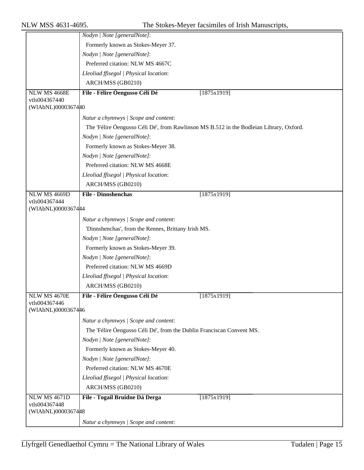|                                     | Nodyn   Note [generalNote]:                                                             |             |
|-------------------------------------|-----------------------------------------------------------------------------------------|-------------|
|                                     | Formerly known as Stokes-Meyer 37.                                                      |             |
|                                     | Nodyn   Note [generalNote]:                                                             |             |
|                                     | Preferred citation: NLW MS 4667C                                                        |             |
|                                     | Lleoliad ffisegol   Physical location:                                                  |             |
|                                     | ARCH/MSS (GB0210)                                                                       |             |
| NLW MS 4668E                        | File - Félire Óengusso Céli Dé                                                          | [1875x1919] |
| vtls004367440<br>(WIAbNL)0000367440 |                                                                                         |             |
|                                     | Natur a chynnwys / Scope and content:                                                   |             |
|                                     | The 'Félire Óengusso Céli Dé', from Rawlinson MS B.512 in the Bodleian Library, Oxford. |             |
|                                     | Nodyn   Note [generalNote]:                                                             |             |
|                                     | Formerly known as Stokes-Meyer 38.                                                      |             |
|                                     | Nodyn   Note [generalNote]:                                                             |             |
|                                     | Preferred citation: NLW MS 4668E                                                        |             |
|                                     | Lleoliad ffisegol   Physical location:                                                  |             |
|                                     | ARCH/MSS (GB0210)                                                                       |             |
| NLW MS 4669D                        | <b>File - Dinnshenchas</b>                                                              | [1875x1919] |
| vtls004367444                       |                                                                                         |             |
| (WIAbNL)0000367444                  |                                                                                         |             |
|                                     | Natur a chynnwys / Scope and content:                                                   |             |
|                                     | 'Dinnshenchas', from the Rennes, Brittany Irish MS.                                     |             |
|                                     | Nodyn   Note [generalNote]:                                                             |             |
|                                     | Formerly known as Stokes-Meyer 39.                                                      |             |
|                                     | Nodyn   Note [generalNote]:                                                             |             |
|                                     | Preferred citation: NLW MS 4669D                                                        |             |
|                                     | Lleoliad ffisegol   Physical location:                                                  |             |
|                                     | ARCH/MSS (GB0210)                                                                       |             |
| <b>NLW MS 4670E</b>                 | File - Félire Óengusso Céli Dé                                                          | [1875x1919] |
| vtls004367446<br>(WIAbNL)0000367446 |                                                                                         |             |
|                                     | Natur a chynnwys / Scope and content:                                                   |             |
|                                     | The 'Félire Óengusso Céli Dé', from the Dublin Franciscan Convent MS.                   |             |
|                                     | Nodyn   Note [generalNote]:                                                             |             |
|                                     | Formerly known as Stokes-Meyer 40.                                                      |             |
|                                     | Nodyn   Note [generalNote]:                                                             |             |
|                                     | Preferred citation: NLW MS 4670E                                                        |             |
|                                     | Lleoliad ffisegol   Physical location:                                                  |             |
|                                     | ARCH/MSS (GB0210)                                                                       |             |
| <b>NLW MS 4671D</b>                 | File - Togail Bruidne Dá Derga                                                          | [1875x1919] |
| vtls004367448<br>(WIAbNL)0000367448 |                                                                                         |             |
|                                     | Natur a chynnwys / Scope and content:                                                   |             |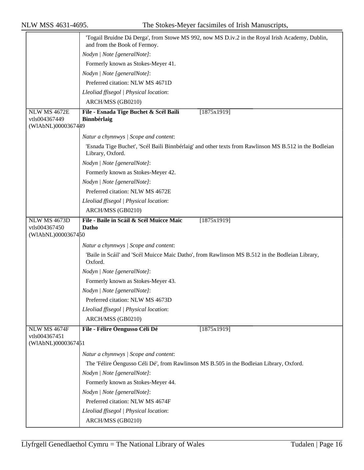|                                     | Togail Bruidne Dá Derga', from Stowe MS 992, now MS D.iv.2 in the Royal Irish Academy, Dublin,<br>and from the Book of Fermoy. |
|-------------------------------------|--------------------------------------------------------------------------------------------------------------------------------|
|                                     | Nodyn   Note [generalNote]:                                                                                                    |
|                                     | Formerly known as Stokes-Meyer 41.                                                                                             |
|                                     | Nodyn   Note [generalNote]:                                                                                                    |
|                                     | Preferred citation: NLW MS 4671D                                                                                               |
|                                     | Lleoliad ffisegol   Physical location:                                                                                         |
|                                     | ARCH/MSS (GB0210)                                                                                                              |
| <b>NLW MS 4672E</b>                 | File - Esnada Tige Buchet & Scél Baili<br>[1875x1919]                                                                          |
| vtls004367449                       | Binnbérlaig                                                                                                                    |
| (WIAbNL)0000367449                  |                                                                                                                                |
|                                     | Natur a chynnwys / Scope and content:                                                                                          |
|                                     | 'Esnada Tige Buchet', 'Scél Baili Binnbérlaig' and other texts from Rawlinson MS B.512 in the Bodleian<br>Library, Oxford.     |
|                                     | Nodyn   Note [generalNote]:                                                                                                    |
|                                     | Formerly known as Stokes-Meyer 42.                                                                                             |
|                                     | Nodyn   Note [generalNote]:                                                                                                    |
|                                     | Preferred citation: NLW MS 4672E                                                                                               |
|                                     | Lleoliad ffisegol   Physical location:                                                                                         |
|                                     | ARCH/MSS (GB0210)                                                                                                              |
| <b>NLW MS 4673D</b>                 | File - Baile in Scáil & Scél Muicce Maic<br>[1875x1919]                                                                        |
| vtls004367450                       | Datho                                                                                                                          |
| (WIAbNL)0000367450                  |                                                                                                                                |
|                                     | Natur a chynnwys / Scope and content:                                                                                          |
|                                     | 'Baile in Scáil' and 'Scél Muicce Maic Datho', from Rawlinson MS B.512 in the Bodleian Library,<br>Oxford.                     |
|                                     | Nodyn   Note [generalNote]:                                                                                                    |
|                                     | Formerly known as Stokes-Meyer 43.                                                                                             |
|                                     | Nodyn   Note [generalNote]:                                                                                                    |
|                                     | Preferred citation: NLW MS 4673D                                                                                               |
|                                     | Lleoliad ffisegol   Physical location:                                                                                         |
|                                     | ARCH/MSS (GB0210)                                                                                                              |
| NLW MS 4674F                        | File - Félire Óengusso Céli Dé<br>[1875x1919]                                                                                  |
| vtls004367451<br>(WIAbNL)0000367451 |                                                                                                                                |
|                                     | Natur a chynnwys / Scope and content:                                                                                          |
|                                     | The 'Félire Óengusso Céli Dé', from Rawlinson MS B.505 in the Bodleian Library, Oxford.                                        |
|                                     | Nodyn   Note [generalNote]:                                                                                                    |
|                                     | Formerly known as Stokes-Meyer 44.                                                                                             |
|                                     | Nodyn   Note [generalNote]:                                                                                                    |
|                                     | Preferred citation: NLW MS 4674F                                                                                               |
|                                     | Lleoliad ffisegol   Physical location:                                                                                         |
|                                     | ARCH/MSS (GB0210)                                                                                                              |
|                                     |                                                                                                                                |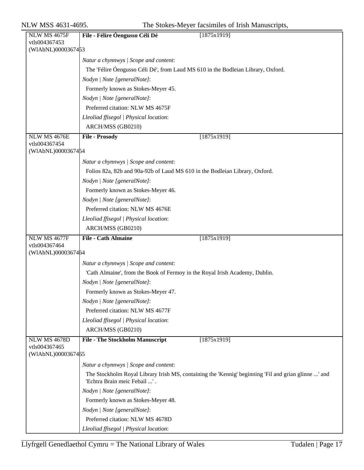| <b>NLW MS 4675F</b>                 | [1875x1919]<br>File - Félire Óengusso Céli Dé                                                                                        |  |
|-------------------------------------|--------------------------------------------------------------------------------------------------------------------------------------|--|
| vtls004367453                       |                                                                                                                                      |  |
| (WIAbNL)0000367453                  |                                                                                                                                      |  |
|                                     | Natur a chynnwys / Scope and content:                                                                                                |  |
|                                     | The 'Félire Óengusso Céli Dé', from Laud MS 610 in the Bodleian Library, Oxford.                                                     |  |
|                                     | Nodyn   Note [generalNote]:                                                                                                          |  |
|                                     | Formerly known as Stokes-Meyer 45.                                                                                                   |  |
|                                     | Nodyn   Note [generalNote]:                                                                                                          |  |
|                                     | Preferred citation: NLW MS 4675F                                                                                                     |  |
|                                     | Lleoliad ffisegol   Physical location:                                                                                               |  |
|                                     | ARCH/MSS (GB0210)                                                                                                                    |  |
| NLW MS 4676E                        | <b>File - Prosody</b><br>[1875x1919]                                                                                                 |  |
| vtls004367454                       |                                                                                                                                      |  |
| (WIAbNL)0000367454                  |                                                                                                                                      |  |
|                                     | Natur a chynnwys / Scope and content:                                                                                                |  |
|                                     | Folios 82a, 82b and 90a-92b of Laud MS 610 in the Bodleian Library, Oxford.                                                          |  |
|                                     | Nodyn   Note [generalNote]:                                                                                                          |  |
|                                     | Formerly known as Stokes-Meyer 46.                                                                                                   |  |
|                                     | Nodyn   Note [generalNote]:                                                                                                          |  |
|                                     | Preferred citation: NLW MS 4676E                                                                                                     |  |
|                                     | Lleoliad ffisegol   Physical location:                                                                                               |  |
|                                     | ARCH/MSS (GB0210)                                                                                                                    |  |
| <b>NLW MS 4677F</b>                 | <b>File - Cath Almaine</b><br>[1875x1919]                                                                                            |  |
| vtls004367464                       |                                                                                                                                      |  |
| (WIAbNL)0000367464                  |                                                                                                                                      |  |
|                                     | Natur a chynnwys / Scope and content:                                                                                                |  |
|                                     | 'Cath Almaine', from the Book of Fermoy in the Royal Irish Academy, Dublin.                                                          |  |
|                                     | Nodyn   Note [generalNote]:                                                                                                          |  |
|                                     | Formerly known as Stokes-Meyer 47.                                                                                                   |  |
|                                     | Nodyn   Note [generalNote]:                                                                                                          |  |
|                                     | Preferred citation: NLW MS 4677F                                                                                                     |  |
|                                     | Lleoliad ffisegol   Physical location:                                                                                               |  |
|                                     | ARCH/MSS (GB0210)                                                                                                                    |  |
| <b>NLW MS 4678D</b>                 | <b>File - The Stockholm Manuscript</b><br>[1875x1919]                                                                                |  |
| vtls004367465<br>(WIAbNL)0000367465 |                                                                                                                                      |  |
|                                     |                                                                                                                                      |  |
|                                     | Natur a chynnwys / Scope and content:                                                                                                |  |
|                                     | The Stockholm Royal Library Irish MS, containing the 'Kennig' beginning 'Fil and grian glinne ' and<br>'Echtra Brain meic Febail ' . |  |
|                                     | Nodyn   Note [generalNote]:                                                                                                          |  |
|                                     | Formerly known as Stokes-Meyer 48.                                                                                                   |  |
|                                     | Nodyn   Note [generalNote]:                                                                                                          |  |
|                                     | Preferred citation: NLW MS 4678D                                                                                                     |  |
|                                     | Lleoliad ffisegol   Physical location:                                                                                               |  |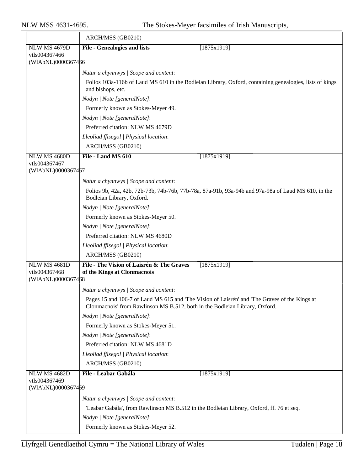|                                                            | ARCH/MSS (GB0210)                                                                                                                                                            |  |  |
|------------------------------------------------------------|------------------------------------------------------------------------------------------------------------------------------------------------------------------------------|--|--|
| <b>NLW MS 4679D</b>                                        | <b>File - Genealogies and lists</b><br>[1875x1919]                                                                                                                           |  |  |
| vtls004367466                                              |                                                                                                                                                                              |  |  |
| (WIAbNL)0000367466                                         |                                                                                                                                                                              |  |  |
|                                                            | Natur a chynnwys / Scope and content:                                                                                                                                        |  |  |
|                                                            | Folios 103a-116b of Laud MS 610 in the Bodleian Library, Oxford, containing genealogies, lists of kings<br>and bishops, etc.                                                 |  |  |
|                                                            | Nodyn   Note [generalNote]:                                                                                                                                                  |  |  |
|                                                            | Formerly known as Stokes-Meyer 49.                                                                                                                                           |  |  |
|                                                            | Nodyn   Note [generalNote]:                                                                                                                                                  |  |  |
|                                                            | Preferred citation: NLW MS 4679D                                                                                                                                             |  |  |
|                                                            | Lleoliad ffisegol   Physical location:                                                                                                                                       |  |  |
|                                                            | ARCH/MSS (GB0210)                                                                                                                                                            |  |  |
| NLW MS 4680D                                               | File - Laud MS 610<br>[1875x1919]                                                                                                                                            |  |  |
| vtls004367467                                              |                                                                                                                                                                              |  |  |
| (WIAbNL)0000367467                                         |                                                                                                                                                                              |  |  |
|                                                            | Natur a chynnwys / Scope and content:                                                                                                                                        |  |  |
|                                                            | Folios 9b, 42a, 42b, 72b-73b, 74b-76b, 77b-78a, 87a-91b, 93a-94b and 97a-98a of Laud MS 610, in the<br>Bodleian Library, Oxford.                                             |  |  |
|                                                            | Nodyn   Note [generalNote]:                                                                                                                                                  |  |  |
|                                                            | Formerly known as Stokes-Meyer 50.                                                                                                                                           |  |  |
|                                                            | Nodyn   Note [generalNote]:                                                                                                                                                  |  |  |
|                                                            | Preferred citation: NLW MS 4680D                                                                                                                                             |  |  |
|                                                            | Lleoliad ffisegol   Physical location:                                                                                                                                       |  |  |
|                                                            | ARCH/MSS (GB0210)                                                                                                                                                            |  |  |
| <b>NLW MS 4681D</b><br>vtls004367468<br>(WIAbNL)0000367468 | File - The Vision of Laisrén & The Graves<br>[1875x1919]<br>of the Kings at Clonmacnois                                                                                      |  |  |
|                                                            | Natur a chynnwys / Scope and content:                                                                                                                                        |  |  |
|                                                            | Pages 15 and 106-7 of Laud MS 615 and 'The Vision of Laisrén' and 'The Graves of the Kings at<br>Clonmacnois' from Rawlinson MS B.512, both in the Bodleian Library, Oxford. |  |  |
|                                                            | Nodyn   Note [generalNote]:                                                                                                                                                  |  |  |
|                                                            | Formerly known as Stokes-Meyer 51.                                                                                                                                           |  |  |
|                                                            | Nodyn   Note [generalNote]:                                                                                                                                                  |  |  |
|                                                            | Preferred citation: NLW MS 4681D                                                                                                                                             |  |  |
|                                                            | Lleoliad ffisegol   Physical location:                                                                                                                                       |  |  |
|                                                            | ARCH/MSS (GB0210)                                                                                                                                                            |  |  |
| <b>NLW MS 4682D</b><br>vtls004367469                       | File - Leabar Gabála<br>[1875x1919]                                                                                                                                          |  |  |
| (WIAbNL)0000367469                                         |                                                                                                                                                                              |  |  |
|                                                            | Natur a chynnwys / Scope and content:                                                                                                                                        |  |  |
|                                                            | 'Leabar Gabála', from Rawlinson MS B.512 in the Bodleian Library, Oxford, ff. 76 et seq.                                                                                     |  |  |
|                                                            | Nodyn   Note [generalNote]:                                                                                                                                                  |  |  |
|                                                            | Formerly known as Stokes-Meyer 52.                                                                                                                                           |  |  |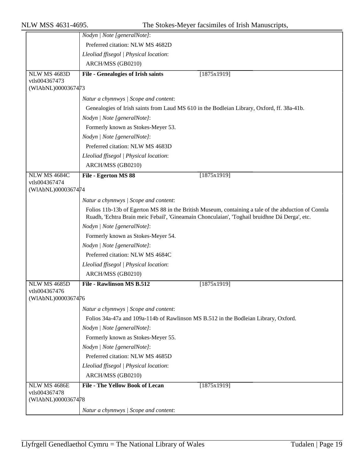|                                     | Nodyn   Note [generalNote]:                                                                         |
|-------------------------------------|-----------------------------------------------------------------------------------------------------|
|                                     | Preferred citation: NLW MS 4682D                                                                    |
|                                     | Lleoliad ffisegol   Physical location:                                                              |
|                                     | ARCH/MSS (GB0210)                                                                                   |
| <b>NLW MS 4683D</b>                 | <b>File - Genealogies of Irish saints</b><br>[1875x1919]                                            |
| vtls004367473                       |                                                                                                     |
| (WIAbNL)0000367473                  |                                                                                                     |
|                                     | Natur a chynnwys / Scope and content:                                                               |
|                                     | Genealogies of Irish saints from Laud MS 610 in the Bodleian Library, Oxford, ff. 38a-41b.          |
|                                     | Nodyn   Note [generalNote]:                                                                         |
|                                     | Formerly known as Stokes-Meyer 53.                                                                  |
|                                     | Nodyn   Note [generalNote]:                                                                         |
|                                     | Preferred citation: NLW MS 4683D                                                                    |
|                                     | Lleoliad ffisegol   Physical location:                                                              |
|                                     | ARCH/MSS (GB0210)                                                                                   |
| NLW MS 4684C                        | [1875x1919]<br>File - Egerton MS 88                                                                 |
| vtls004367474<br>(WIAbNL)0000367474 |                                                                                                     |
|                                     | Natur a chynnwys / Scope and content:                                                               |
|                                     | Folios 11b-13b of Egerton MS 88 in the British Museum, containing a tale of the abduction of Connla |
|                                     | Ruadh, 'Echtra Brain meic Febail', 'Gineamain Chonculaian', 'Toghail bruidhne Dá Derga', etc.       |
|                                     | Nodyn   Note [generalNote]:                                                                         |
|                                     | Formerly known as Stokes-Meyer 54.                                                                  |
|                                     | Nodyn   Note [generalNote]:                                                                         |
|                                     | Preferred citation: NLW MS 4684C                                                                    |
|                                     | Lleoliad ffisegol   Physical location:                                                              |
|                                     | ARCH/MSS (GB0210)                                                                                   |
| NLW MS 4685D                        | <b>File - Rawlinson MS B.512</b><br>[1875x1919]                                                     |
| vtls004367476<br>(WIAbNL)0000367476 |                                                                                                     |
|                                     |                                                                                                     |
|                                     | Natur a chynnwys / Scope and content:                                                               |
|                                     | Folios 34a-47a and 109a-114b of Rawlinson MS B.512 in the Bodleian Library, Oxford.                 |
|                                     | Nodyn   Note [generalNote]:                                                                         |
|                                     | Formerly known as Stokes-Meyer 55.                                                                  |
|                                     | Nodyn   Note [generalNote]:                                                                         |
|                                     | Preferred citation: NLW MS 4685D                                                                    |
|                                     | Lleoliad ffisegol   Physical location:                                                              |
|                                     | ARCH/MSS (GB0210)                                                                                   |
| NLW MS 4686E<br>vtls004367478       | <b>File - The Yellow Book of Lecan</b><br>[1875x1919]                                               |
| (WIAbNL)0000367478                  |                                                                                                     |
|                                     | Natur a chynnwys / Scope and content:                                                               |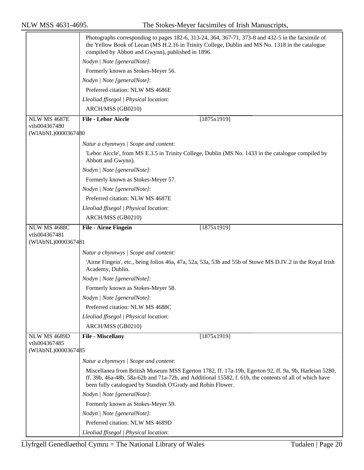|                                      | Photographs corresponding to pages 182-6, 313-24, 364, 367-71, 373-8 and 432-5 in the facsimile of<br>the Yellow Book of Lecan (MS H.2.16 in Trinity College, Dublin and MS No. 1318 in the catalogue<br>compiled by Abbott and Gwynn), published in 1896.                     |  |  |
|--------------------------------------|--------------------------------------------------------------------------------------------------------------------------------------------------------------------------------------------------------------------------------------------------------------------------------|--|--|
|                                      | Nodyn   Note [generalNote]:                                                                                                                                                                                                                                                    |  |  |
|                                      | Formerly known as Stokes-Meyer 56.                                                                                                                                                                                                                                             |  |  |
|                                      | Nodyn   Note [generalNote]:                                                                                                                                                                                                                                                    |  |  |
|                                      | Preferred citation: NLW MS 4686E                                                                                                                                                                                                                                               |  |  |
|                                      | Lleoliad ffisegol   Physical location:                                                                                                                                                                                                                                         |  |  |
|                                      | ARCH/MSS (GB0210)                                                                                                                                                                                                                                                              |  |  |
| <b>NLW MS 4687E</b>                  | <b>File - Lebor Aiccle</b><br>[1875x1919]                                                                                                                                                                                                                                      |  |  |
| vtls004367480<br>(WIAbNL)0000367480  |                                                                                                                                                                                                                                                                                |  |  |
|                                      | Natur a chynnwys / Scope and content:                                                                                                                                                                                                                                          |  |  |
|                                      | 'Lebor Aiccle', from MS E.3.5 in Trinity College, Dublin (MS No. 1433 in the catalogue compiled by<br>Abbott and Gwynn).                                                                                                                                                       |  |  |
|                                      | Nodyn   Note [generalNote]:                                                                                                                                                                                                                                                    |  |  |
|                                      | Formerly known as Stokes-Meyer 57.                                                                                                                                                                                                                                             |  |  |
|                                      | Nodyn   Note [generalNote]:                                                                                                                                                                                                                                                    |  |  |
|                                      | Preferred citation: NLW MS 4687E                                                                                                                                                                                                                                               |  |  |
|                                      | Lleoliad ffisegol   Physical location:                                                                                                                                                                                                                                         |  |  |
|                                      | ARCH/MSS (GB0210)                                                                                                                                                                                                                                                              |  |  |
| NLW MS 4688C                         | [1875x1919]<br>File - Airne Fingein                                                                                                                                                                                                                                            |  |  |
| vtls004367481<br>(WIAbNL)0000367481  |                                                                                                                                                                                                                                                                                |  |  |
|                                      |                                                                                                                                                                                                                                                                                |  |  |
|                                      | Natur a chynnwys / Scope and content:                                                                                                                                                                                                                                          |  |  |
|                                      | 'Airne Fingein', etc., being folios 46a, 47a, 52a, 53a, 53b and 55b of Stowe MS D.IV.2 in the Royal Irish<br>Academy, Dublin.                                                                                                                                                  |  |  |
|                                      | Nodyn   Note [generalNote]:                                                                                                                                                                                                                                                    |  |  |
|                                      | Formerly known as Stokes-Meyer 58.                                                                                                                                                                                                                                             |  |  |
|                                      | Nodyn   Note [generalNote]:                                                                                                                                                                                                                                                    |  |  |
|                                      | Preferred citation: NLW MS 4688C                                                                                                                                                                                                                                               |  |  |
|                                      | Lleoliad ffisegol   Physical location:                                                                                                                                                                                                                                         |  |  |
|                                      | ARCH/MSS (GB0210)                                                                                                                                                                                                                                                              |  |  |
| <b>NLW MS 4689D</b><br>vtls004367485 | [1875x1919]<br>File - Miscellany                                                                                                                                                                                                                                               |  |  |
| (WIAbNL)0000367485                   |                                                                                                                                                                                                                                                                                |  |  |
|                                      | Natur a chynnwys / Scope and content:                                                                                                                                                                                                                                          |  |  |
|                                      | Miscellanea from British Museum MSS Egerton 1782, ff. 17a-19b, Egerton 92, ff. 9a, 9b, Harleian 5280,<br>ff. 39b, 46a-48b, 58a-62b and 71a-72b, and Additional 15582, f. 61b, the contents of all of which have<br>been fully catalogued by Standish O'Grady and Robin Flower. |  |  |
|                                      | Nodyn   Note [generalNote]:                                                                                                                                                                                                                                                    |  |  |
|                                      | Formerly known as Stokes-Meyer 59.                                                                                                                                                                                                                                             |  |  |
|                                      | Nodyn   Note [generalNote]:                                                                                                                                                                                                                                                    |  |  |
|                                      | Preferred citation: NLW MS 4689D                                                                                                                                                                                                                                               |  |  |
|                                      | Lleoliad ffisegol   Physical location:                                                                                                                                                                                                                                         |  |  |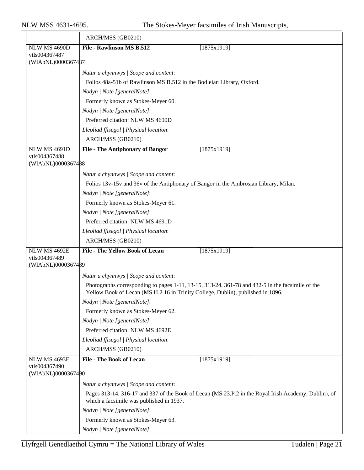|                                      | ARCH/MSS (GB0210)                                                                                                                                |
|--------------------------------------|--------------------------------------------------------------------------------------------------------------------------------------------------|
| <b>NLW MS 4690D</b>                  | File - Rawlinson MS B.512<br>[1875x1919]                                                                                                         |
| vtls004367487<br>(WIAbNL)0000367487  |                                                                                                                                                  |
|                                      |                                                                                                                                                  |
|                                      | Natur a chynnwys / Scope and content:<br>Folios 48a-51b of Rawlinson MS B.512 in the Bodleian Library, Oxford.                                   |
|                                      | Nodyn   Note [generalNote]:                                                                                                                      |
|                                      | Formerly known as Stokes-Meyer 60.                                                                                                               |
|                                      | Nodyn   Note [generalNote]:                                                                                                                      |
|                                      | Preferred citation: NLW MS 4690D                                                                                                                 |
|                                      | Lleoliad ffisegol   Physical location:                                                                                                           |
|                                      | ARCH/MSS (GB0210)                                                                                                                                |
| <b>NLW MS 4691D</b>                  | [1875x1919]<br><b>File - The Antiphonary of Bangor</b>                                                                                           |
| vtls004367488                        |                                                                                                                                                  |
| (WIAbNL)0000367488                   |                                                                                                                                                  |
|                                      | Natur a chynnwys / Scope and content:                                                                                                            |
|                                      | Folios 13v-15v and 36v of the Antiphonary of Bangor in the Ambrosian Library, Milan.                                                             |
|                                      | Nodyn   Note [generalNote]:                                                                                                                      |
|                                      | Formerly known as Stokes-Meyer 61.                                                                                                               |
|                                      | Nodyn   Note [generalNote]:                                                                                                                      |
|                                      | Preferred citation: NLW MS 4691D                                                                                                                 |
|                                      | Lleoliad ffisegol   Physical location:                                                                                                           |
|                                      | ARCH/MSS (GB0210)                                                                                                                                |
| <b>NLW MS 4692E</b><br>vtls004367489 | <b>File - The Yellow Book of Lecan</b><br>[1875x1919]                                                                                            |
| (WIAbNL)0000367489                   |                                                                                                                                                  |
|                                      | Natur a chynnwys / Scope and content:                                                                                                            |
|                                      | Photographs corresponding to pages 1-11, 13-15, 313-24, 361-78 and 432-5 in the facsimile of the                                                 |
|                                      | Yellow Book of Lecan (MS H.2.16 in Trinity College, Dublin), published in 1896.                                                                  |
|                                      | Nodyn   Note [generalNote]:                                                                                                                      |
|                                      | Formerly known as Stokes-Meyer 62.                                                                                                               |
|                                      | Nodyn   Note [generalNote]:                                                                                                                      |
|                                      | Preferred citation: NLW MS 4692E                                                                                                                 |
|                                      | Lleoliad ffisegol   Physical location:                                                                                                           |
|                                      | ARCH/MSS (GB0210)                                                                                                                                |
| NLW MS 4693E                         | <b>File - The Book of Lecan</b><br>[1875x1919]                                                                                                   |
| vtls004367490<br>(WIAbNL)0000367490  |                                                                                                                                                  |
|                                      | Natur a chynnwys / Scope and content:                                                                                                            |
|                                      | Pages 313-14, 316-17 and 337 of the Book of Lecan (MS 23.P.2 in the Royal Irish Academy, Dublin), of<br>which a facsimile was published in 1937. |
|                                      | Nodyn   Note [generalNote]:                                                                                                                      |
|                                      | Formerly known as Stokes-Meyer 63.                                                                                                               |
|                                      | Nodyn   Note [generalNote]:                                                                                                                      |